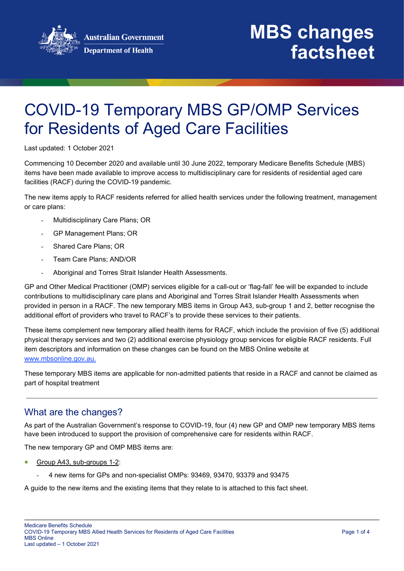

# COVID-19 Temporary MBS GP/OMP Services for Residents of Aged Care Facilities

Last updated: 1 October 2021

Commencing 10 December 2020 and available until 30 June 2022, temporary Medicare Benefits Schedule (MBS) items have been made available to improve access to multidisciplinary care for residents of residential aged care facilities (RACF) during the COVID-19 pandemic.

The new items apply to RACF residents referred for allied health services under the following treatment, management or care plans:

- Multidisciplinary Care Plans; OR
- GP Management Plans; OR
- Shared Care Plans; OR
- Team Care Plans: AND/OR
- Aboriginal and Torres Strait Islander Health Assessments.

GP and Other Medical Practitioner (OMP) services eligible for a call-out or 'flag-fall' fee will be expanded to include contributions to multidisciplinary care plans and Aboriginal and Torres Strait Islander Health Assessments when provided in person in a RACF. The new temporary MBS items in Group A43, sub-group 1 and 2, better recognise the additional effort of providers who travel to RACF's to provide these services to their patients.

These items complement new temporary allied health items for RACF, which include the provision of five (5) additional physical therapy services and two (2) additional exercise physiology group services for eligible RACF residents. Full item descriptors and information on these changes can be found on the MBS Online website at www.mbsonline.gov.au.

These temporary MBS items are applicable for non-admitted patients that reside in a RACF and cannot be claimed as part of hospital treatment

#### What are the changes?

As part of the Australian Government's response to COVID-19, four (4) new GP and OMP new temporary MBS items have been introduced to support the provision of comprehensive care for residents within RACF.

The new temporary GP and OMP MBS items are:

- Group A43, sub-groups 1-2:
	- 4 new items for GPs and non-specialist OMPs: 93469, 93470, 93379 and 93475

A guide to the new items and the existing items that they relate to is attached to this fact sheet.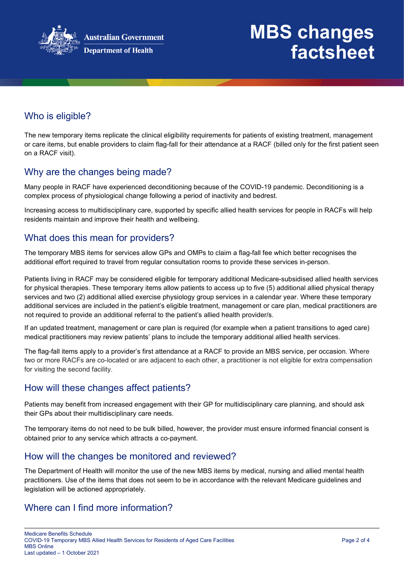

# **MBS changes factsheet**

## Who is eligible?

The new temporary items replicate the clinical eligibility requirements for patients of existing treatment, management or care items, but enable providers to claim flag-fall for their attendance at a RACF (billed only for the first patient seen on a RACF visit).

#### Why are the changes being made?

Many people in RACF have experienced deconditioning because of the COVID-19 pandemic. Deconditioning is a complex process of physiological change following a period of inactivity and bedrest.

Increasing access to multidisciplinary care, supported by specific allied health services for people in RACFs will help residents maintain and improve their health and wellbeing.

#### What does this mean for providers?

The temporary MBS items for services allow GPs and OMPs to claim a flag-fall fee which better recognises the additional effort required to travel from regular consultation rooms to provide these services in-person.

Patients living in RACF may be considered eligible for temporary additional Medicare-subsidised allied health services for physical therapies. These temporary items allow patients to access up to five (5) additional allied physical therapy services and two (2) additional allied exercise physiology group services in a calendar year. Where these temporary additional services are included in the patient's eligible treatment, management or care plan, medical practitioners are not required to provide an additional referral to the patient's allied health provider/s.

If an updated treatment, management or care plan is required (for example when a patient transitions to aged care) medical practitioners may review patients' plans to include the temporary additional allied health services.

The flag-fall items apply to a provider's first attendance at a RACF to provide an MBS service, per occasion. Where two or more RACFs are co-located or are adjacent to each other, a practitioner is not eligible for extra compensation for visiting the second facility.

#### How will these changes affect patients?

Patients may benefit from increased engagement with their GP for multidisciplinary care planning, and should ask their GPs about their multidisciplinary care needs.

The temporary items do not need to be bulk billed, however, the provider must ensure informed financial consent is obtained prior to any service which attracts a co-payment.

#### How will the changes be monitored and reviewed?

The Department of Health will monitor the use of the new MBS items by medical, nursing and allied mental health practitioners. Use of the items that does not seem to be in accordance with the relevant Medicare guidelines and legislation will be actioned appropriately.

#### Where can I find more information?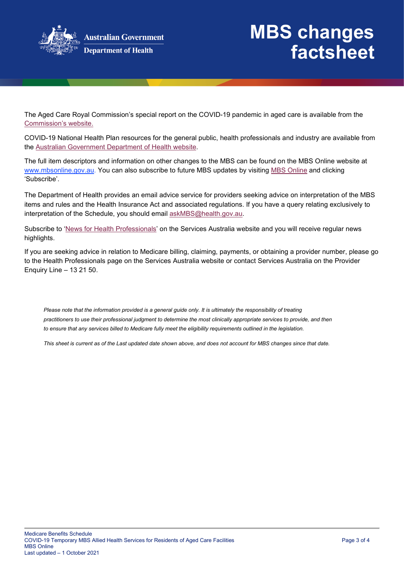

The Aged Care Royal Commission's special report on the COVID-19 pandemic in aged care is available from the [Commission's website.](https://agedcare.royalcommission.gov.au/publications/aged-care-and-covid-19-special-report)

COVID-19 National Health Plan resources for the general public, health professionals and industry are available from the [Australian Government Department of Health website.](https://www.health.gov.au/resources/collections/coronavirus-covid-19-national-health-plan-resources)

The full item descriptors and information on other changes to the MBS can be found on the MBS Online website at www.mbsonline.gov.au. You can also subscribe to future MBS updates by visiting [MBS Online](http://www.mbsonline.gov.au/) and clicking 'Subscribe'.

The Department of Health provides an email advice service for providers seeking advice on interpretation of the MBS items and rules and the Health Insurance Act and associated regulations. If you have a query relating exclusively to interpretation of the Schedule, you should email [askMBS@health.gov.au.](mailto:askMBS@health.gov.au)

Subscribe to ['News for Health Professionals'](https://www.servicesaustralia.gov.au/organisations/health-professionals/news/all) on the Services Australia website and you will receive regular news highlights.

If you are seeking advice in relation to Medicare billing, claiming, payments, or obtaining a provider number, please go to the Health Professionals page on the Services Australia website or contact Services Australia on the Provider Enquiry Line – 13 21 50.

*Please note that the information provided is a general guide only. It is ultimately the responsibility of treating practitioners to use their professional judgment to determine the most clinically appropriate services to provide, and then*  to ensure that any services billed to Medicare fully meet the eligibility requirements outlined in the legislation.

*This sheet is current as of the Last updated date shown above, and does not account for MBS changes since that date.*